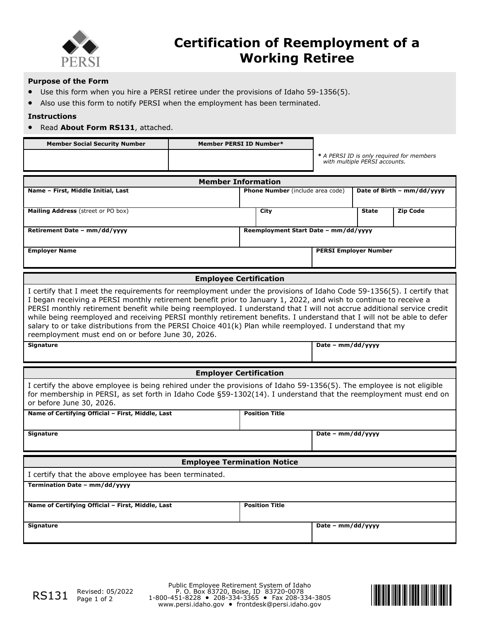

## **Certification of Reemployment of a Working Retiree**

### **Purpose of the Form**

- Use this form when you hire a PERSI retiree under the provisions of Idaho 59-1356(5).
- Also use this form to notify PERSI when the employment has been terminated.

### **Instructions**

• Read **About Form RS131**, attached.

| <b>Member Social Security Number</b> | <b>Member PERSI ID Number*</b> |                                                                            |
|--------------------------------------|--------------------------------|----------------------------------------------------------------------------|
|                                      |                                | * A PERSI ID is only required for members<br>with multiple PERSI accounts. |
|                                      |                                |                                                                            |

| <b>Member Information</b>                                                                                                                                                                                                                                                                                                                                                                                                                                                                                                                                                                                                                                     |                                         |                              |                            |                 |  |  |  |
|---------------------------------------------------------------------------------------------------------------------------------------------------------------------------------------------------------------------------------------------------------------------------------------------------------------------------------------------------------------------------------------------------------------------------------------------------------------------------------------------------------------------------------------------------------------------------------------------------------------------------------------------------------------|-----------------------------------------|------------------------------|----------------------------|-----------------|--|--|--|
| Name - First, Middle Initial, Last                                                                                                                                                                                                                                                                                                                                                                                                                                                                                                                                                                                                                            | <b>Phone Number</b> (include area code) |                              | Date of Birth - mm/dd/yyyy |                 |  |  |  |
| Mailing Address (street or PO box)                                                                                                                                                                                                                                                                                                                                                                                                                                                                                                                                                                                                                            | City                                    |                              | <b>State</b>               | <b>Zip Code</b> |  |  |  |
| Retirement Date - mm/dd/yyyy                                                                                                                                                                                                                                                                                                                                                                                                                                                                                                                                                                                                                                  | Reemployment Start Date - mm/dd/yyyy    |                              |                            |                 |  |  |  |
| <b>Employer Name</b>                                                                                                                                                                                                                                                                                                                                                                                                                                                                                                                                                                                                                                          |                                         | <b>PERSI Employer Number</b> |                            |                 |  |  |  |
| <b>Employee Certification</b>                                                                                                                                                                                                                                                                                                                                                                                                                                                                                                                                                                                                                                 |                                         |                              |                            |                 |  |  |  |
| I certify that I meet the requirements for reemployment under the provisions of Idaho Code 59-1356(5). I certify that<br>I began receiving a PERSI monthly retirement benefit prior to January 1, 2022, and wish to continue to receive a<br>PERSI monthly retirement benefit while being reemployed. I understand that I will not accrue additional service credit<br>while being reemployed and receiving PERSI monthly retirement benefits. I understand that I will not be able to defer<br>salary to or take distributions from the PERSI Choice 401(k) Plan while reemployed. I understand that my<br>reemployment must end on or before June 30, 2026. |                                         |                              |                            |                 |  |  |  |
| <b>Signature</b>                                                                                                                                                                                                                                                                                                                                                                                                                                                                                                                                                                                                                                              |                                         | Date - mm/dd/yyyy            |                            |                 |  |  |  |
|                                                                                                                                                                                                                                                                                                                                                                                                                                                                                                                                                                                                                                                               |                                         |                              |                            |                 |  |  |  |
| <b>Employer Certification</b>                                                                                                                                                                                                                                                                                                                                                                                                                                                                                                                                                                                                                                 |                                         |                              |                            |                 |  |  |  |
| I certify the above employee is being rehired under the provisions of Idaho 59-1356(5). The employee is not eligible<br>for membership in PERSI, as set forth in Idaho Code §59-1302(14). I understand that the reemployment must end on<br>or before June 30, 2026.                                                                                                                                                                                                                                                                                                                                                                                          |                                         |                              |                            |                 |  |  |  |
| Name of Certifying Official - First, Middle, Last                                                                                                                                                                                                                                                                                                                                                                                                                                                                                                                                                                                                             | <b>Position Title</b>                   |                              |                            |                 |  |  |  |
| <b>Signature</b>                                                                                                                                                                                                                                                                                                                                                                                                                                                                                                                                                                                                                                              |                                         | Date - mm/dd/yyyy            |                            |                 |  |  |  |
| <b>Employee Termination Notice</b>                                                                                                                                                                                                                                                                                                                                                                                                                                                                                                                                                                                                                            |                                         |                              |                            |                 |  |  |  |
|                                                                                                                                                                                                                                                                                                                                                                                                                                                                                                                                                                                                                                                               |                                         |                              |                            |                 |  |  |  |
| I certify that the above employee has been terminated.                                                                                                                                                                                                                                                                                                                                                                                                                                                                                                                                                                                                        |                                         |                              |                            |                 |  |  |  |
| Termination Date - mm/dd/yyyy                                                                                                                                                                                                                                                                                                                                                                                                                                                                                                                                                                                                                                 |                                         |                              |                            |                 |  |  |  |
| Name of Certifying Official - First, Middle, Last                                                                                                                                                                                                                                                                                                                                                                                                                                                                                                                                                                                                             | <b>Position Title</b>                   |                              |                            |                 |  |  |  |